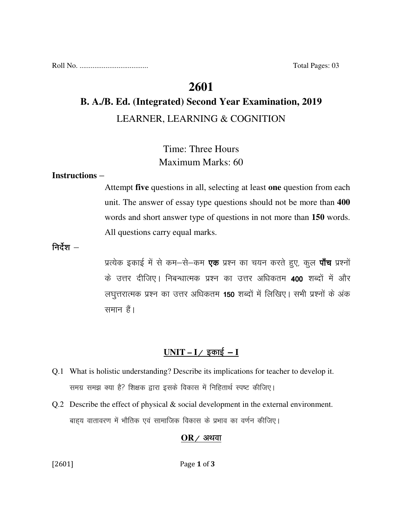Roll No. ..................................... Total Pages: 03

### **2601**

# **B. A./B. Ed. (Integrated) Second Year Examination, 2019**  LEARNER, LEARNING & COGNITION

# Time: Three Hours Maximum Marks: 60

#### **Instructions** –

Attempt **five** questions in all, selecting at least **one** question from each unit. The answer of essay type questions should not be more than **400** words and short answer type of questions in not more than **150** words. All questions carry equal marks.

#### निर्देश  $-$

प्रत्येक इकाई में से कम-से-कम **एक** प्रश्न का चयन करते हुए, कुल **पाँच** प्रश्नों के उत्तर दीजिए। निबन्धात्मक प्रश्न का उत्तर अधिकतम **400** शब्दों में और लघुत्तरात्मक प्रश्न का उत्तर अधिकतम 150 शब्दों में लिखिए। सभी प्रश्नों के अंक समान हैं।

### $UNIT - I /$  इकाई – **I**

- Q.1 What is holistic understanding? Describe its implications for teacher to develop it. समग्र समझ क्या है? शिक्षक द्वारा इसके विकास में निहितार्थ स्पष्ट कीजिए।
- Q.2 Describe the effect of physical & social development in the external environment. बाहय वातावरण में भौतिक एवं सामाजिक विकास के प्रभाव का वर्णन कीजिए।

#### $OR$  ⁄ अथवा

[2601] Page 1 of 3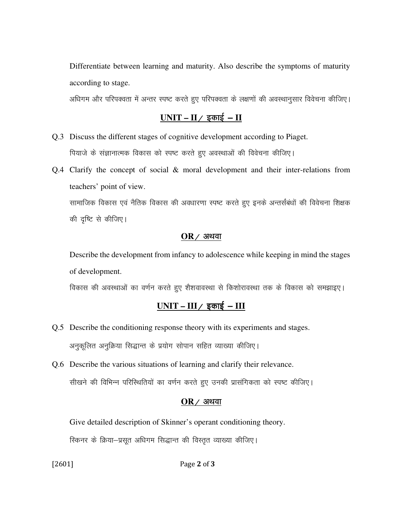Differentiate between learning and maturity. Also describe the symptoms of maturity according to stage.

अधिगम और परिपक्वता में अन्तर स्पष्ट करते हुए परिपक्वता के लक्षणों की अवस्थानुसार विवेचना कीजिए।

### $UNIT - II /$  इकाई – **II**

- Q.3 Discuss the different stages of cognitive development according to Piaget. पियाजे के संज्ञानात्मक विकास को स्पष्ट करते हुए अवस्थाओं की विवेचना कीजिए।
- Q.4 Clarify the concept of social & moral development and their inter-relations from teachers' point of view.

सामाजिक विकास एवं नैतिक विकास की अवधारणा स्पष्ट करते हुए इनके अन्तर्संबंधों की विवेचना शिक्षक की दृष्टि से कीजिए।

#### $OR$  / अथवा

 Describe the development from infancy to adolescence while keeping in mind the stages of development.

विकास की अवस्थाओं का वर्णन करते हुए शैशवावस्था से किशोरावस्था तक के विकास को समझाइए।

# <u>UNIT – III / इकाई – III</u>

- Q.5 Describe the conditioning response theory with its experiments and stages. अनुकूलित अनुक्रिया सिद्धान्त के प्रयोग सोपान सहित व्याख्या कीजिए।
- Q.6 Describe the various situations of learning and clarify their relevance. सीखने की विभिन्न परिस्थितियों का वर्णन करते हुए उनकी प्रासंगिकता को स्पष्ट कीजिए।

#### $OR$  / अथवा

Give detailed description of Skinner's operant conditioning theory.

रिकनर के क्रिया-प्रसूत अधिगम सिद्धान्त की विस्तृत व्याख्या कीजिए।